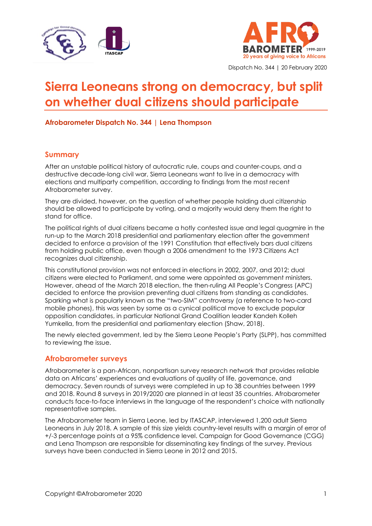



Dispatch No. 344 | 20 February 2020

# **Sierra Leoneans strong on democracy, but split on whether dual citizens should participate**

### **Afrobarometer Dispatch No. 344 | Lena Thompson**

#### **Summary**

After an unstable political history of autocratic rule, coups and counter-coups, and a destructive decade-long civil war, Sierra Leoneans want to live in a democracy with elections and multiparty competition, according to findings from the most recent Afrobarometer survey.

They are divided, however, on the question of whether people holding dual citizenship should be allowed to participate by voting, and a majority would deny them the right to stand for office.

The political rights of dual citizens became a hotly contested issue and legal quagmire in the run-up to the March 2018 presidential and parliamentary election after the government decided to enforce a provision of the 1991 Constitution that effectively bars dual citizens from holding public office, even though a 2006 amendment to the 1973 Citizens Act recognizes dual citizenship.

This constitutional provision was not enforced in elections in 2002, 2007, and 2012; dual citizens were elected to Parliament, and some were appointed as government ministers. However, ahead of the March 2018 election, the then-ruling All People's Congress (APC) decided to enforce the provision preventing dual citizens from standing as candidates. Sparking what is popularly known as the "two-SIM" controversy (a reference to two-card mobile phones), this was seen by some as a cynical political move to exclude popular opposition candidates, in particular National Grand Coalition leader Kandeh Kolleh Yumkella, from the presidential and parliamentary election (Shaw, 2018).

The newly elected government, led by the Sierra Leone People's Party (SLPP), has committed to reviewing the issue.

#### **Afrobarometer surveys**

Afrobarometer is a pan-African, nonpartisan survey research network that provides reliable data on Africans' experiences and evaluations of quality of life, governance, and democracy. Seven rounds of surveys were completed in up to 38 countries between 1999 and 2018. Round 8 surveys in 2019/2020 are planned in at least 35 countries. Afrobarometer conducts face-to-face interviews in the language of the respondent's choice with nationally representative samples.

The Afrobarometer team in Sierra Leone, led by ITASCAP, interviewed 1,200 adult Sierra Leoneans in July 2018. A sample of this size yields country-level results with a margin of error of +/-3 percentage points at a 95% confidence level. Campaign for Good Governance (CGG) and Lena Thompson are responsible for disseminating key findings of the survey. Previous surveys have been conducted in Sierra Leone in 2012 and 2015.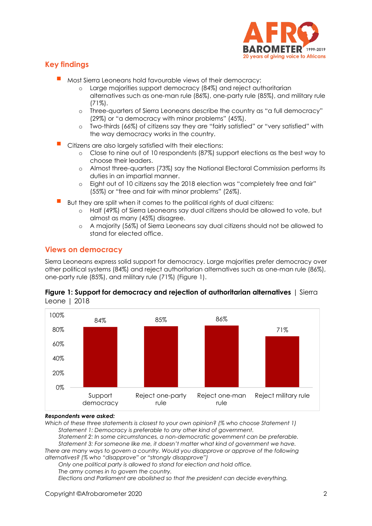

# **Key findings**

- Most Sierra Leoneans hold favourable views of their democracy:
	- o Large majorities support democracy (84%) and reject authoritarian alternatives such as one-man rule (86%), one-party rule (85%), and military rule (71%).
	- o Three-quarters of Sierra Leoneans describe the country as "a full democracy" (29%) or "a democracy with minor problems" (45%).
	- o Two-thirds (66%) of citizens say they are "fairly satisfied" or "very satisfied" with the way democracy works in the country.
- Citizens are also largely satisfied with their elections:
	- o Close to nine out of 10 respondents (87%) support elections as the best way to choose their leaders.
	- o Almost three-quarters (73%) say the National Electoral Commission performs its duties in an impartial manner.
	- o Eight out of 10 citizens say the 2018 election was "completely free and fair" (55%) or "free and fair with minor problems" (26%).
- But they are split when it comes to the political rights of dual citizens:
	- o Half (49%) of Sierra Leoneans say dual citizens should be allowed to vote, but almost as many (45%) disagree.
	- o A majority (56%) of Sierra Leoneans say dual citizens should not be allowed to stand for elected office.

## **Views on democracy**

Sierra Leoneans express solid support for democracy. Large majorities prefer democracy over other political systems (84%) and reject authoritarian alternatives such as one-man rule (86%), one-party rule (85%), and military rule (71%) (Figure 1).





#### *Respondents were asked:*

*Which of these three statements is closest to your own opinion? (% who choose Statement 1) Statement 1: Democracy is preferable to any other kind of government.*

*Statement 2: In some circumstances, a non-democratic government can be preferable. Statement 3: For someone like me, it doesn't matter what kind of government we have.*

*There are many ways to govern a country. Would you disapprove or approve of the following alternatives? (% who "disapprove" or "strongly disapprove")* 

*Only one political party is allowed to stand for election and hold office.*

*The army comes in to govern the country.*

*Elections and Parliament are abolished so that the president can decide everything.*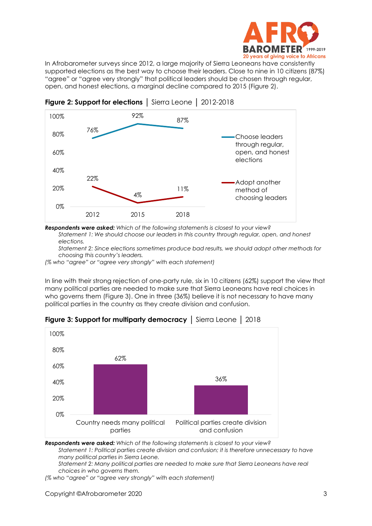

In Afrobarometer surveys since 2012, a large majority of Sierra Leoneans have consistently supported elections as the best way to choose their leaders. Close to nine in 10 citizens (87%) "agree" or "agree very strongly" that political leaders should be chosen through regular, open, and honest elections, a marginal decline compared to 2015 (Figure 2).



**Figure 2: Support for elections** │ Sierra Leone │ 2012-2018

*Respondents were asked: Which of the following statements is closest to your view? Statement 1: We should choose our leaders in this country through regular, open, and honest elections.*

*Statement 2: Since elections sometimes produce bad results, we should adopt other methods for choosing this country's leaders.*

*(% who "agree" or "agree very strongly" with each statement)*

In line with their strong rejection of one-party rule, six in 10 citizens (62%) support the view that many political parties are needed to make sure that Sierra Leoneans have real choices in who governs them (Figure 3). One in three (36%) believe it is not necessary to have many political parties in the country as they create division and confusion.



**Figure 3: Support for multiparty democracy** │ Sierra Leone │ 2018

*Respondents were asked: Which of the following statements is closest to your view? Statement 1: Political parties create division and confusion; it is therefore unnecessary to have many political parties in Sierra Leone.*

*Statement 2: Many political parties are needed to make sure that Sierra Leoneans have real choices in who governs them.*

*(% who "agree" or "agree very strongly" with each statement)*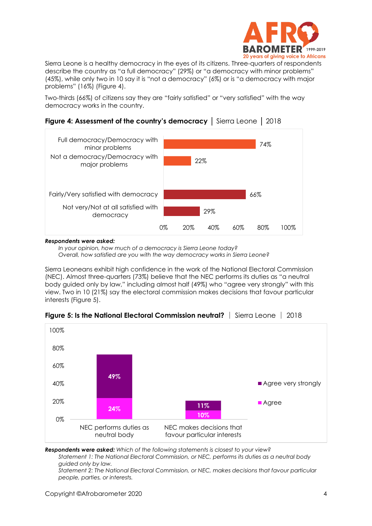

Sierra Leone is a healthy democracy in the eyes of its citizens. Three-quarters of respondents describe the country as "a full democracy" (29%) or "a democracy with minor problems" (45%), while only two in 10 say it is "not a democracy" (6%) or is "a democracy with major problems" (16%) (Figure 4).

Two-thirds (66%) of citizens say they are "fairly satisfied" or "very satisfied" with the way democracy works in the country.



# **Figure 4: Assessment of the country's democracy** │ Sierra Leone │ 2018

*Respondents were asked:*

*In your opinion, how much of a democracy is Sierra Leone today? Overall, how satisfied are you with the way democracy works in Sierra Leone?*

Sierra Leoneans exhibit high confidence in the work of the National Electoral Commission (NEC). Almost three-quarters (73%) believe that the NEC performs its duties as "a neutral body guided only by law," including almost half (49%) who "agree very strongly" with this view. Two in 10 (21%) say the electoral commission makes decisions that favour particular interests (Figure 5).



**Figure 5: Is the National Electoral Commission neutral?** │ Sierra Leone │ 2018

*Respondents were asked: Which of the following statements is closest to your view?* 

*Statement 1: The National Electoral Commission, or NEC, performs its duties as a neutral body guided only by law.*

*Statement 2: The National Electoral Commission, or NEC, makes decisions that favour particular people, parties, or interests.*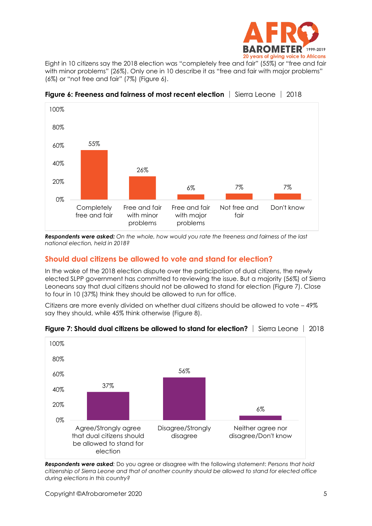

Eight in 10 citizens say the 2018 election was "completely free and fair" (55%) or "free and fair with minor problems" (26%). Only one in 10 describe it as "free and fair with major problems" (6%) or "not free and fair" (7%) (Figure 6).



**Figure 6: Freeness and fairness of most recent election** │ Sierra Leone │ 2018

*Respondents were asked: On the whole, how would you rate the freeness and fairness of the last national election, held in 2018?* 

# **Should dual citizens be allowed to vote and stand for election?**

In the wake of the 2018 election dispute over the participation of dual citizens, the newly elected SLPP government has committed to reviewing the issue. But a majority (56%) of Sierra Leoneans say that dual citizens should not be allowed to stand for election (Figure 7). Close to four in 10 (37%) think they should be allowed to run for office.

Citizens are more evenly divided on whether dual citizens should be allowed to vote – 49% say they should, while 45% think otherwise (Figure 8).



#### **Figure 7: Should dual citizens be allowed to stand for election?** │ Sierra Leone │ 2018

*Respondents were asked:* Do you agree or disagree with the following statement: *Persons that hold citizenship of Sierra Leone and that of another country should be allowed to stand for elected office during elections in this country?*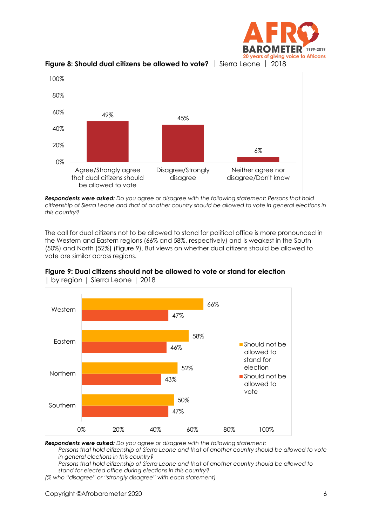





*Respondents were asked: Do you agree or disagree with the following statement: Persons that hold citizenship of Sierra Leone and that of another country should be allowed to vote in general elections in this country?*

The call for dual citizens not to be allowed to stand for political office is more pronounced in the Western and Eastern regions (66% and 58%, respectively) and is weakest in the South (50%) and North (52%) (Figure 9). But views on whether dual citizens should be allowed to vote are similar across regions.





**|** by region | Sierra Leone | 2018

*Respondents were asked: Do you agree or disagree with the following statement:* 

*Persons that hold citizenship of Sierra Leone and that of another country should be allowed to vote in general elections in this country?*

*Persons that hold citizenship of Sierra Leone and that of another country should be allowed to stand for elected office during elections in this country?*

*(% who "disagree" or "strongly disagree" with each statement)*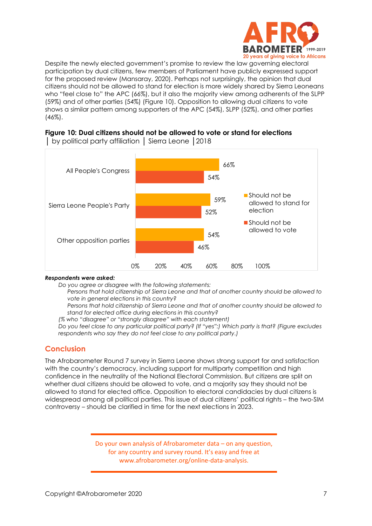

Despite the newly elected government's promise to review the law governing electoral participation by dual citizens, few members of Parliament have publicly expressed support for the proposed review (Mansaray, 2020). Perhaps not surprisingly, the opinion that dual citizens should not be allowed to stand for election is more widely shared by Sierra Leoneans who "feel close to" the APC (66%), but it also the majority view among adherents of the SLPP (59%) and of other parties (54%) (Figure 10). Opposition to allowing dual citizens to vote shows a similar pattern among supporters of the APC (54%), SLPP (52%), and other parties (46%).

#### **Figure 10: Dual citizens should not be allowed to vote or stand for elections**



│ by political party affiliation │ Sierra Leone │2018

#### *Respondents were asked:*

*Do you agree or disagree with the following statements:*

*Persons that hold citizenship of Sierra Leone and that of another country should be allowed to vote in general elections in this country?*

*Persons that hold citizenship of Sierra Leone and that of another country should be allowed to stand for elected office during elections in this country?*

*(% who "disagree" or "strongly disagree" with each statement)*

*Do you feel close to any particular political party? (If "yes":) Which party is that? (Figure excludes respondents who say they do not feel close to any political party.)*

# **Conclusion**

The Afrobarometer Round 7 survey in Sierra Leone shows strong support for and satisfaction with the country's democracy, including support for multiparty competition and high confidence in the neutrality of the National Electoral Commission. But citizens are split on whether dual citizens should be allowed to vote, and a majority say they should not be allowed to stand for elected office. Opposition to electoral candidacies by dual citizens is widespread among all political parties. This issue of dual citizens' political rights – the two-SIM controversy – should be clarified in time for the next elections in 2023.

> Do your own analysis of Afrobarometer data – on any question, for any country and survey round. It's easy and free at www.afrobarometer.org/online-data-analysis.